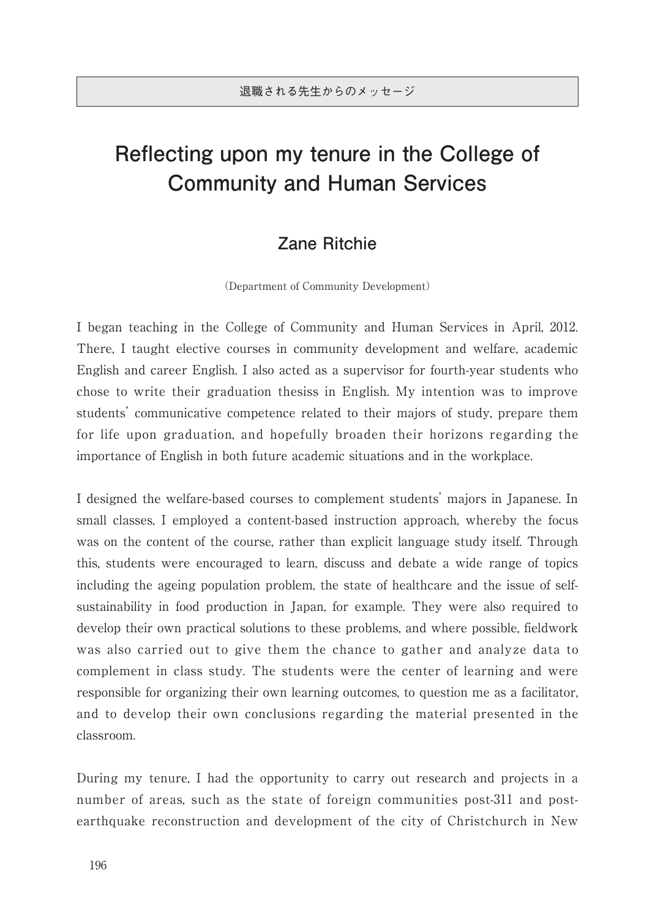## **Reflecting upon my tenure in the College of Community and Human Services**

## **Zane Ritchie**

(Department of Community Development)

I began teaching in the College of Community and Human Services in April, 2012. There, I taught elective courses in community development and welfare, academic English and career English. I also acted as a supervisor for fourth-year students who chose to write their graduation thesiss in English. My intention was to improve students' communicative competence related to their majors of study, prepare them for life upon graduation, and hopefully broaden their horizons regarding the importance of English in both future academic situations and in the workplace.

I designed the welfare-based courses to complement students' majors in Japanese. In small classes, I employed a content-based instruction approach, whereby the focus was on the content of the course, rather than explicit language study itself. Through this, students were encouraged to learn, discuss and debate a wide range of topics including the ageing population problem, the state of healthcare and the issue of selfsustainability in food production in Japan, for example. They were also required to develop their own practical solutions to these problems, and where possible, fieldwork was also carried out to give them the chance to gather and analyze data to complement in class study. The students were the center of learning and were responsible for organizing their own learning outcomes, to question me as a facilitator, and to develop their own conclusions regarding the material presented in the classroom.

During my tenure, I had the opportunity to carry out research and projects in a number of areas, such as the state of foreign communities post-311 and postearthquake reconstruction and development of the city of Christchurch in New